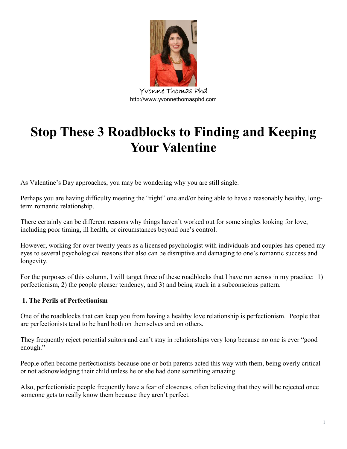

**Yvonne Thomas Phd** http://www.yvonnethomasphd.com

# **Stop These 3 Roadblocks to Finding and Keeping Your Valentine**

As Valentine's Day approaches, you may be wondering why you are still single.

Perhaps you are having difficulty meeting the "right" one and/or being able to have a reasonably healthy, longterm romantic relationship.

There certainly can be different reasons why things haven't worked out for some singles looking for love, including poor timing, ill health, or circumstances beyond one's control.

However, working for over twenty years as a licensed psychologist with individuals and couples has opened my eyes to several psychological reasons that also can be disruptive and damaging to one's romantic success and longevity.

For the purposes of this column, I will target three of these roadblocks that I have run across in my practice: 1) perfectionism, 2) the people pleaser tendency, and 3) and being stuck in a subconscious pattern.

## **1. The Perils of Perfectionism**

One of the roadblocks that can keep you from having a healthy love relationship is perfectionism. People that are perfectionists tend to be hard both on themselves and on others.

They frequently reject potential suitors and can't stay in relationships very long because no one is ever "good enough."

People often become perfectionists because one or both parents acted this way with them, being overly critical or not acknowledging their child unless he or she had done something amazing.

Also, perfectionistic people frequently have a fear of closeness, often believing that they will be rejected once someone gets to really know them because they aren't perfect.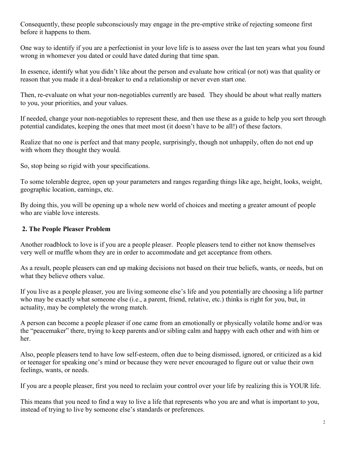Consequently, these people subconsciously may engage in the pre-emptive strike of rejecting someone first before it happens to them.

One way to identify if you are a perfectionist in your love life is to assess over the last ten years what you found wrong in whomever you dated or could have dated during that time span.

In essence, identify what you didn't like about the person and evaluate how critical (or not) was that quality or reason that you made it a deal-breaker to end a relationship or never even start one.

Then, re-evaluate on what your non-negotiables currently are based. They should be about what really matters to you, your priorities, and your values.

If needed, change your non-negotiables to represent these, and then use these as a guide to help you sort through potential candidates, keeping the ones that meet most (it doesn't have to be all!) of these factors.

Realize that no one is perfect and that many people, surprisingly, though not unhappily, often do not end up with whom they thought they would.

So, stop being so rigid with your specifications.

To some tolerable degree, open up your parameters and ranges regarding things like age, height, looks, weight, geographic location, earnings, etc.

By doing this, you will be opening up a whole new world of choices and meeting a greater amount of people who are viable love interests.

## **2. The People Pleaser Problem**

Another roadblock to love is if you are a people pleaser. People pleasers tend to either not know themselves very well or muffle whom they are in order to accommodate and get acceptance from others.

As a result, people pleasers can end up making decisions not based on their true beliefs, wants, or needs, but on what they believe others value.

If you live as a people pleaser, you are living someone else's life and you potentially are choosing a life partner who may be exactly what someone else (i.e., a parent, friend, relative, etc.) thinks is right for you, but, in actuality, may be completely the wrong match.

A person can become a people pleaser if one came from an emotionally or physically volatile home and/or was the "peacemaker" there, trying to keep parents and/or sibling calm and happy with each other and with him or her.

Also, people pleasers tend to have low self-esteem, often due to being dismissed, ignored, or criticized as a kid or teenager for speaking one's mind or because they were never encouraged to figure out or value their own feelings, wants, or needs.

If you are a people pleaser, first you need to reclaim your control over your life by realizing this is YOUR life.

This means that you need to find a way to live a life that represents who you are and what is important to you, instead of trying to live by someone else's standards or preferences.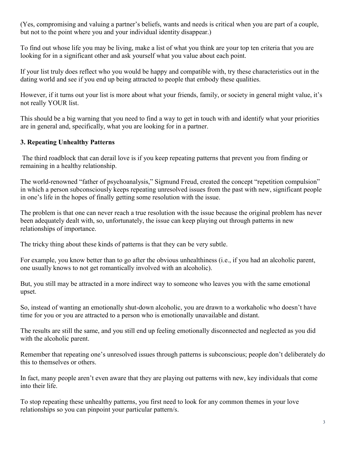(Yes, compromising and valuing a partner's beliefs, wants and needs is critical when you are part of a couple, but not to the point where you and your individual identity disappear.)

To find out whose life you may be living, make a list of what you think are your top ten criteria that you are looking for in a significant other and ask yourself what you value about each point.

If your list truly does reflect who you would be happy and compatible with, try these characteristics out in the dating world and see if you end up being attracted to people that embody these qualities.

However, if it turns out your list is more about what your friends, family, or society in general might value, it's not really YOUR list.

This should be a big warning that you need to find a way to get in touch with and identify what your priorities are in general and, specifically, what you are looking for in a partner.

## **3. Repeating Unhealthy Patterns**

The third roadblock that can derail love is if you keep repeating patterns that prevent you from finding or remaining in a healthy relationship.

The world-renowned "father of psychoanalysis," Sigmund Freud, created the concept "repetition compulsion" in which a person subconsciously keeps repeating unresolved issues from the past with new, significant people in one's life in the hopes of finally getting some resolution with the issue.

The problem is that one can never reach a true resolution with the issue because the original problem has never been adequately dealt with, so, unfortunately, the issue can keep playing out through patterns in new relationships of importance.

The tricky thing about these kinds of patterns is that they can be very subtle.

For example, you know better than to go after the obvious unhealthiness (i.e., if you had an alcoholic parent, one usually knows to not get romantically involved with an alcoholic).

But, you still may be attracted in a more indirect way to someone who leaves you with the same emotional upset.

So, instead of wanting an emotionally shut-down alcoholic, you are drawn to a workaholic who doesn't have time for you or you are attracted to a person who is emotionally unavailable and distant.

The results are still the same, and you still end up feeling emotionally disconnected and neglected as you did with the alcoholic parent.

Remember that repeating one's unresolved issues through patterns is subconscious; people don't deliberately do this to themselves or others.

In fact, many people aren't even aware that they are playing out patterns with new, key individuals that come into their life.

To stop repeating these unhealthy patterns, you first need to look for any common themes in your love relationships so you can pinpoint your particular pattern/s.